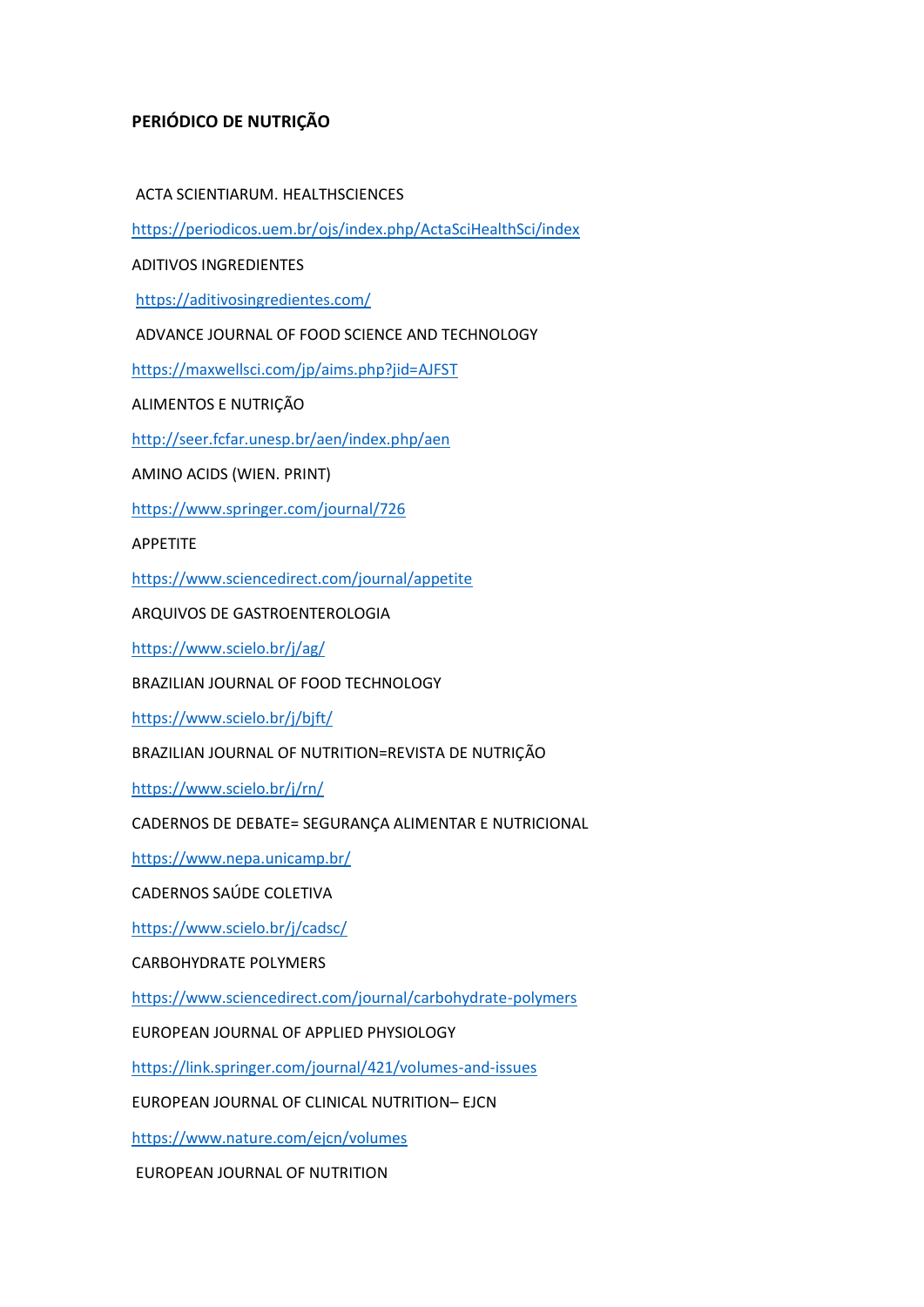## **PERIÓDICO DE NUTRIÇÃO**

## ACTA SCIENTIARUM. HEALTHSCIENCES

<https://periodicos.uem.br/ojs/index.php/ActaSciHealthSci/index>

ADITIVOS INGREDIENTES

<https://aditivosingredientes.com/>

ADVANCE JOURNAL OF FOOD SCIENCE AND TECHNOLOGY

<https://maxwellsci.com/jp/aims.php?jid=AJFST>

ALIMENTOS E NUTRIÇÃO

<http://seer.fcfar.unesp.br/aen/index.php/aen>

AMINO ACIDS (WIEN. PRINT)

<https://www.springer.com/journal/726>

APPETITE

<https://www.sciencedirect.com/journal/appetite>

ARQUIVOS DE GASTROENTEROLOGIA

<https://www.scielo.br/j/ag/>

BRAZILIAN JOURNAL OF FOOD TECHNOLOGY

<https://www.scielo.br/j/bjft/>

BRAZILIAN JOURNAL OF NUTRITION=REVISTA DE NUTRIÇÃO

<https://www.scielo.br/j/rn/>

CADERNOS DE DEBATE= SEGURANÇA ALIMENTAR E NUTRICIONAL

<https://www.nepa.unicamp.br/>

CADERNOS SAÚDE COLETIVA

<https://www.scielo.br/j/cadsc/>

CARBOHYDRATE POLYMERS

<https://www.sciencedirect.com/journal/carbohydrate-polymers>

EUROPEAN JOURNAL OF APPLIED PHYSIOLOGY

<https://link.springer.com/journal/421/volumes-and-issues>

EUROPEAN JOURNAL OF CLINICAL NUTRITION– EJCN

<https://www.nature.com/ejcn/volumes>

EUROPEAN JOURNAL OF NUTRITION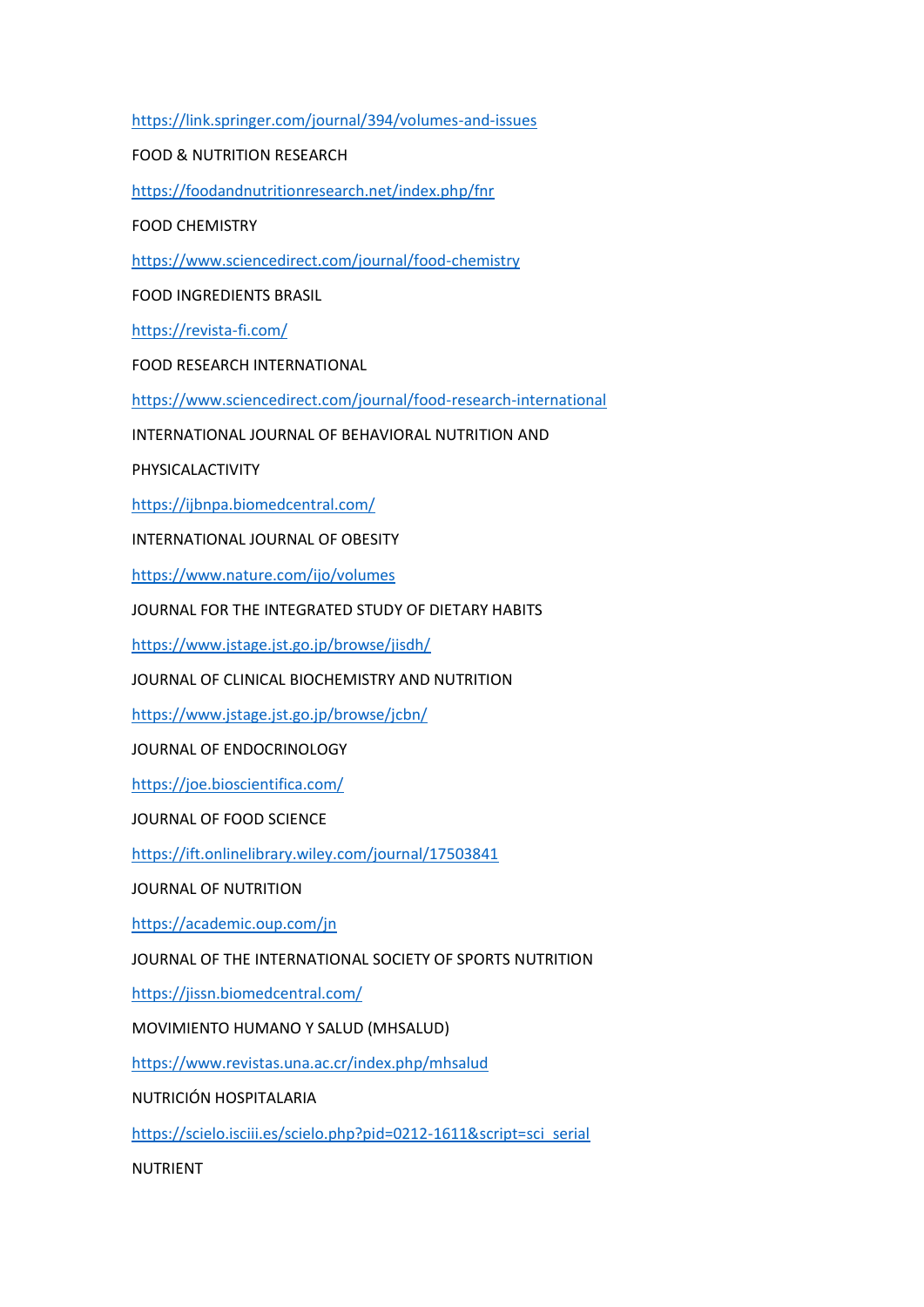<https://link.springer.com/journal/394/volumes-and-issues>

FOOD & NUTRITION RESEARCH

<https://foodandnutritionresearch.net/index.php/fnr>

FOOD CHEMISTRY

<https://www.sciencedirect.com/journal/food-chemistry>

FOOD INGREDIENTS BRASIL

<https://revista-fi.com/>

FOOD RESEARCH INTERNATIONAL

<https://www.sciencedirect.com/journal/food-research-international>

INTERNATIONAL JOURNAL OF BEHAVIORAL NUTRITION AND

PHYSICALACTIVITY

<https://ijbnpa.biomedcentral.com/>

INTERNATIONAL JOURNAL OF OBESITY

<https://www.nature.com/ijo/volumes>

JOURNAL FOR THE INTEGRATED STUDY OF DIETARY HABITS

<https://www.jstage.jst.go.jp/browse/jisdh/>

JOURNAL OF CLINICAL BIOCHEMISTRY AND NUTRITION

<https://www.jstage.jst.go.jp/browse/jcbn/>

JOURNAL OF ENDOCRINOLOGY

<https://joe.bioscientifica.com/>

JOURNAL OF FOOD SCIENCE

<https://ift.onlinelibrary.wiley.com/journal/17503841>

JOURNAL OF NUTRITION

<https://academic.oup.com/jn>

JOURNAL OF THE INTERNATIONAL SOCIETY OF SPORTS NUTRITION

<https://jissn.biomedcentral.com/>

MOVIMIENTO HUMANO Y SALUD (MHSALUD)

<https://www.revistas.una.ac.cr/index.php/mhsalud>

NUTRICIÓN HOSPITALARIA

[https://scielo.isciii.es/scielo.php?pid=0212-1611&script=sci\\_serial](https://scielo.isciii.es/scielo.php?pid=0212-1611&script=sci_serial)

NUTRIENT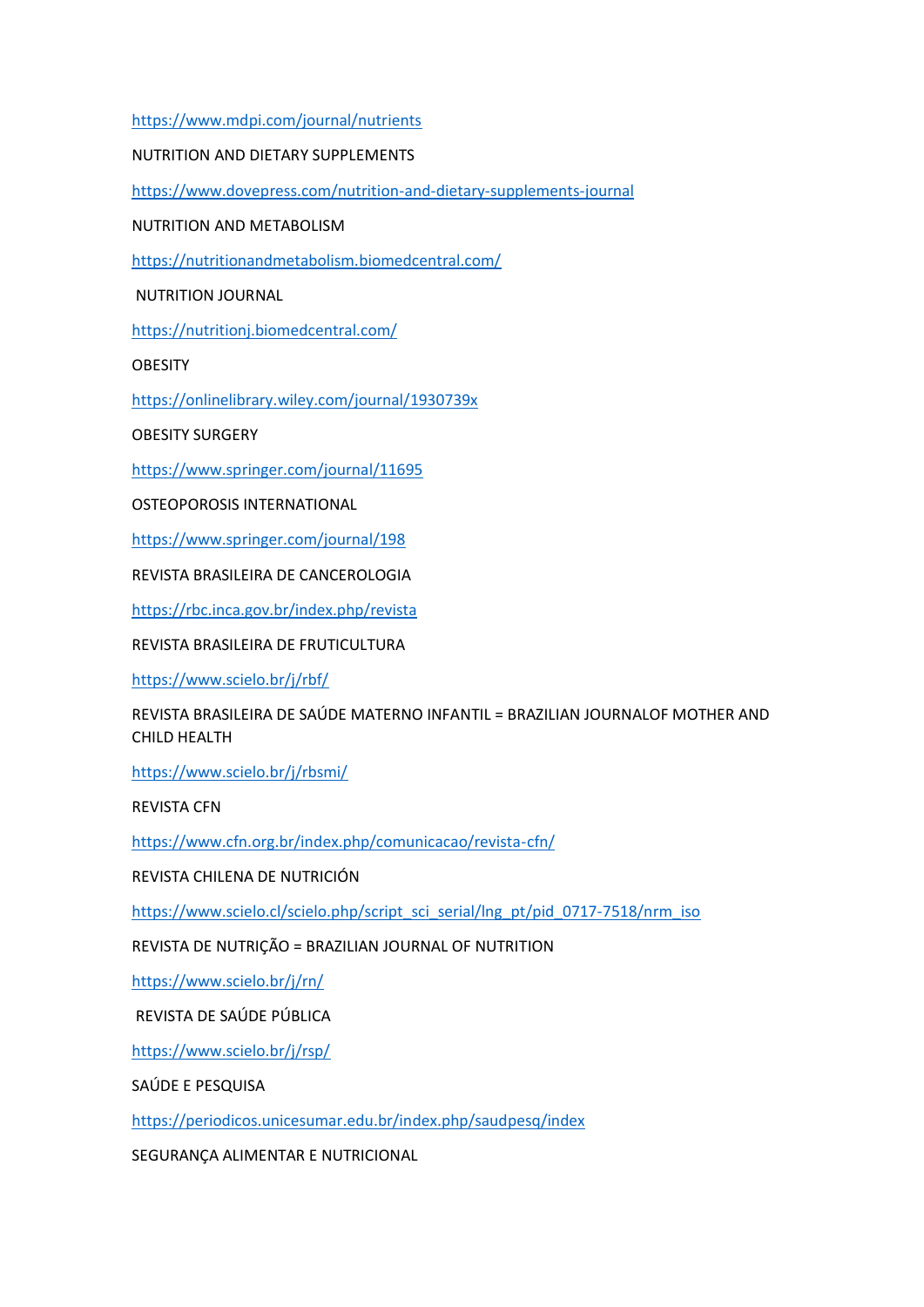<https://www.mdpi.com/journal/nutrients>

NUTRITION AND DIETARY SUPPLEMENTS

<https://www.dovepress.com/nutrition-and-dietary-supplements-journal>

NUTRITION AND METABOLISM

<https://nutritionandmetabolism.biomedcentral.com/>

NUTRITION JOURNAL

<https://nutritionj.biomedcentral.com/>

**OBESITY** 

<https://onlinelibrary.wiley.com/journal/1930739x>

OBESITY SURGERY

<https://www.springer.com/journal/11695>

OSTEOPOROSIS INTERNATIONAL

<https://www.springer.com/journal/198>

REVISTA BRASILEIRA DE CANCEROLOGIA

<https://rbc.inca.gov.br/index.php/revista>

REVISTA BRASILEIRA DE FRUTICULTURA

<https://www.scielo.br/j/rbf/>

REVISTA BRASILEIRA DE SAÚDE MATERNO INFANTIL = BRAZILIAN JOURNALOF MOTHER AND CHILD HEALTH

<https://www.scielo.br/j/rbsmi/>

REVISTA CFN

<https://www.cfn.org.br/index.php/comunicacao/revista-cfn/>

REVISTA CHILENA DE NUTRICIÓN

[https://www.scielo.cl/scielo.php/script\\_sci\\_serial/lng\\_pt/pid\\_0717-7518/nrm\\_iso](https://www.scielo.cl/scielo.php/script_sci_serial/lng_pt/pid_0717-7518/nrm_iso)

REVISTA DE NUTRIÇÃO = BRAZILIAN JOURNAL OF NUTRITION

<https://www.scielo.br/j/rn/>

REVISTA DE SAÚDE PÚBLICA

<https://www.scielo.br/j/rsp/>

SAÚDE E PESQUISA

<https://periodicos.unicesumar.edu.br/index.php/saudpesq/index>

SEGURANÇA ALIMENTAR E NUTRICIONAL